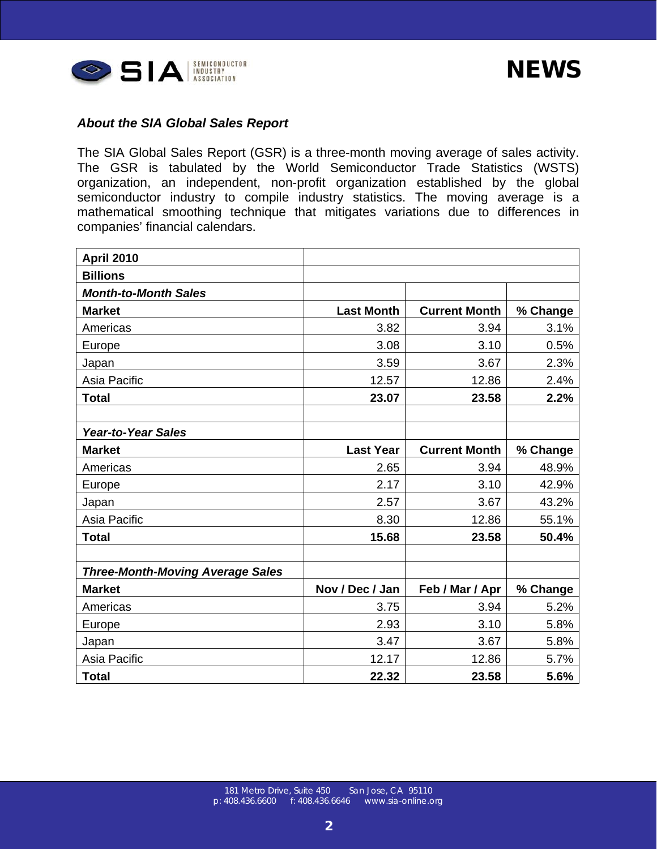| <b>April 2010</b>                       |                   |                      |          |
|-----------------------------------------|-------------------|----------------------|----------|
| <b>Billions</b>                         |                   |                      |          |
| <b>Month-to-Month Sales</b>             |                   |                      |          |
| <b>Market</b>                           | <b>Last Month</b> | <b>Current Month</b> | % Change |
| Americas                                | 3.82              | 3.94                 | 3.1%     |
| Europe                                  | 3.08              | 3.10                 | 0.5%     |
| Japan                                   | 3.59              | 3.67                 | 2.3%     |
| Asia Pacific                            | 12.57             | 12.86                | 2.4%     |
| <b>Total</b>                            | 23.07             | 23.58                | 2.2%     |
|                                         |                   |                      |          |
| <b>Year-to-Year Sales</b>               |                   |                      |          |
| <b>Market</b>                           | <b>Last Year</b>  | <b>Current Month</b> | % Change |
| Americas                                | 2.65              | 3.94                 | 48.9%    |
| Europe                                  | 2.17              | 3.10                 | 42.9%    |
| Japan                                   | 2.57              | 3.67                 | 43.2%    |
| Asia Pacific                            | 8.30              | 12.86                | 55.1%    |
| <b>Total</b>                            | 15.68             | 23.58                | 50.4%    |
|                                         |                   |                      |          |
| <b>Three-Month-Moving Average Sales</b> |                   |                      |          |
| <b>Market</b>                           | Nov / Dec / Jan   | Feb / Mar / Apr      | % Change |
| Americas                                | 3.75              | 3.94                 | 5.2%     |
| Europe                                  | 2.93              | 3.10                 | 5.8%     |
| Japan                                   | 3.47              | 3.67                 | 5.8%     |
| Asia Pacific                            | 12.17             | 12.86                | 5.7%     |
| <b>Total</b>                            | 22.32             | 23.58                | 5.6%     |